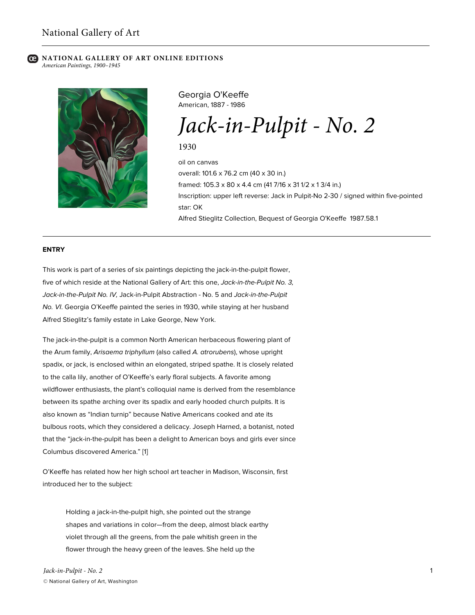

Georgia O'Keeffe American, 1887 - 1986

# *Jack-in-Pulpit - No. 2*

1930

oil on canvas overall: 101.6 x 76.2 cm (40 x 30 in.) framed: 105.3 x 80 x 4.4 cm (41 7/16 x 31 1/2 x 1 3/4 in.) Inscription: upper left reverse: Jack in Pulpit-No 2-30 / signed within five-pointed star: OK Alfred Stieglitz Collection, Bequest of Georgia O'Keeffe 1987.58.1

#### **ENTRY**

This work is part of a series of six paintings depicting the jack-in-the-pulpit flower, five of which reside at the National Gallery of Art: this one, *Jack-in-the-Pulpit No. 3, Jack-in-the-Pulpit No. IV,* Jack-in-Pulpit Abstraction - No. 5 and *Jack-in-the-Pulpit No. VI*. Georgia O'Keeffe painted the series in 1930, while staying at her husband Alfred Stieglitz's family estate in Lake George, New York.

The jack-in-the-pulpit is a common North American herbaceous flowering plant of the Arum family, *Arisaema triphyllum* (also called *A. atrorubens*), whose upright spadix, or jack, is enclosed within an elongated, striped spathe. It is closely related to the calla lily, another of O'Keeffe's early floral subjects. A favorite among wildflower enthusiasts, the plant's colloquial name is derived from the resemblance between its spathe arching over its spadix and early hooded church pulpits. It is also known as "Indian turnip" because Native Americans cooked and ate its bulbous roots, which they considered a delicacy. Joseph Harned, a botanist, noted that the "jack-in-the-pulpit has been a delight to American boys and girls ever since Columbus discovered America." [1]

O'Keeffe has related how her high school art teacher in Madison, Wisconsin, first introduced her to the subject:

Holding a jack-in-the-pulpit high, she pointed out the strange shapes and variations in color—from the deep, almost black earthy violet through all the greens, from the pale whitish green in the flower through the heavy green of the leaves. She held up the

*Jack-in-Pulpit - No. 2* © National Gallery of Art, Washington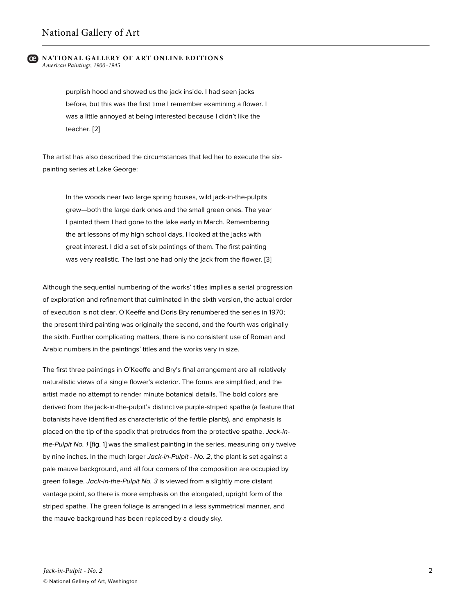purplish hood and showed us the jack inside. I had seen jacks before, but this was the first time I remember examining a flower. I was a little annoyed at being interested because I didn't like the teacher. [2]

The artist has also described the circumstances that led her to execute the sixpainting series at Lake George:

In the woods near two large spring houses, wild jack-in-the-pulpits grew—both the large dark ones and the small green ones. The year I painted them I had gone to the lake early in March. Remembering the art lessons of my high school days, I looked at the jacks with great interest. I did a set of six paintings of them. The first painting was very realistic. The last one had only the jack from the flower. [3]

Although the sequential numbering of the works' titles implies a serial progression of exploration and refinement that culminated in the sixth version, the actual order of execution is not clear. O'Keeffe and Doris Bry renumbered the series in 1970; the present third painting was originally the second, and the fourth was originally the sixth. Further complicating matters, there is no consistent use of Roman and Arabic numbers in the paintings' titles and the works vary in size.

The first three paintings in O'Keeffe and Bry's final arrangement are all relatively naturalistic views of a single flower's exterior. The forms are simplified, and the artist made no attempt to render minute botanical details. The bold colors are derived from the jack-in-the-pulpit's distinctive purple-striped spathe (a feature that botanists have identified as characteristic of the fertile plants), and emphasis is placed on the tip of the spadix that protrudes from the protective spathe. *Jack-inthe-Pulpit No. 1* [fig. 1] was the smallest painting in the series, measuring only twelve by nine inches. In the much larger *Jack-in-Pulpit - No. 2*, the plant is set against a pale mauve background, and all four corners of the composition are occupied by green foliage. *Jack-in-the-Pulpit No. 3* is viewed from a slightly more distant vantage point, so there is more emphasis on the elongated, upright form of the striped spathe. The green foliage is arranged in a less symmetrical manner, and the mauve background has been replaced by a cloudy sky.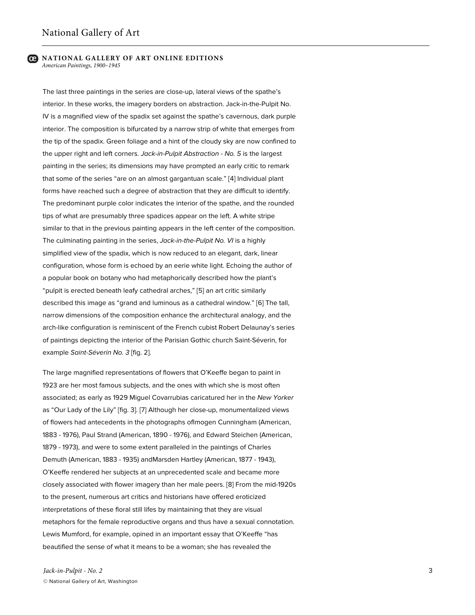The last three paintings in the series are close-up, lateral views of the spathe's interior. In these works, the imagery borders on abstraction. Jack-in-the-Pulpit No. IV is a magnified view of the spadix set against the spathe's cavernous, dark purple interior. The composition is bifurcated by a narrow strip of white that emerges from the tip of the spadix. Green foliage and a hint of the cloudy sky are now confined to the upper right and left corners. *Jack-in-Pulpit Abstraction - No. 5* is the largest painting in the series; its dimensions may have prompted an early critic to remark that some of the series "are on an almost gargantuan scale." [4] Individual plant forms have reached such a degree of abstraction that they are difficult to identify. The predominant purple color indicates the interior of the spathe, and the rounded tips of what are presumably three spadices appear on the left. A white stripe similar to that in the previous painting appears in the left center of the composition. The culminating painting in the series, *Jack-in-the-Pulpit No. VI* is a highly simplified view of the spadix, which is now reduced to an elegant, dark, linear configuration, whose form is echoed by an eerie white light. Echoing the author of a popular book on botany who had metaphorically described how the plant's "pulpit is erected beneath leafy cathedral arches," [5] an art critic similarly described this image as "grand and luminous as a cathedral window." [6] The tall, narrow dimensions of the composition enhance the architectural analogy, and the arch-like configuration is reminiscent of the French cubist Robert Delaunay's series of paintings depicting the interior of the Parisian Gothic church Saint-Séverin, for example *Saint-Séverin No. 3* [fig. 2].

The large magnified representations of flowers that O'Keeffe began to paint in 1923 are her most famous subjects, and the ones with which she is most often associated; as early as 1929 Miguel Covarrubias caricatured her in the *New Yorker* as "Our Lady of the Lily" [fig. 3]. [7] Although her close-up, monumentalized views of flowers had antecedents in the photographs ofImogen Cunningham (American, 1883 - 1976), Paul Strand (American, 1890 - 1976), and Edward Steichen (American, 1879 - 1973), and were to some extent paralleled in the paintings of Charles Demuth (American, 1883 - 1935) andMarsden Hartley (American, 1877 - 1943), O'Keeffe rendered her subjects at an unprecedented scale and became more closely associated with flower imagery than her male peers. [8] From the mid-1920s to the present, numerous art critics and historians have offered eroticized interpretations of these floral still lifes by maintaining that they are visual metaphors for the female reproductive organs and thus have a sexual connotation. Lewis Mumford, for example, opined in an important essay that O'Keeffe "has beautified the sense of what it means to be a woman; she has revealed the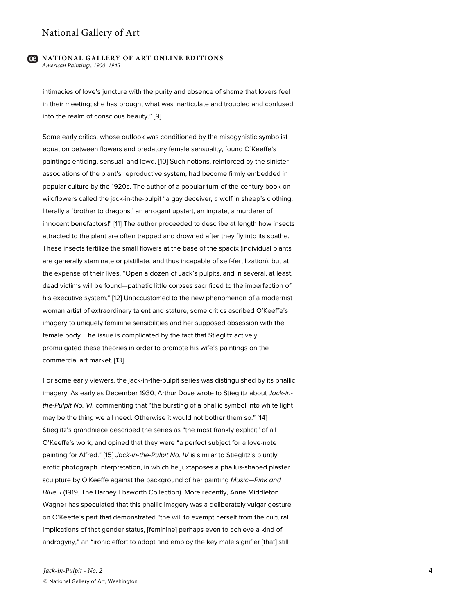intimacies of love's juncture with the purity and absence of shame that lovers feel in their meeting; she has brought what was inarticulate and troubled and confused into the realm of conscious beauty." [9]

Some early critics, whose outlook was conditioned by the misogynistic symbolist equation between flowers and predatory female sensuality, found O'Keeffe's paintings enticing, sensual, and lewd. [10] Such notions, reinforced by the sinister associations of the plant's reproductive system, had become firmly embedded in popular culture by the 1920s. The author of a popular turn-of-the-century book on wildflowers called the jack-in-the-pulpit "a gay deceiver, a wolf in sheep's clothing, literally a 'brother to dragons,' an arrogant upstart, an ingrate, a murderer of innocent benefactors!" [11] The author proceeded to describe at length how insects attracted to the plant are often trapped and drowned after they fly into its spathe. These insects fertilize the small flowers at the base of the spadix (individual plants are generally staminate or pistillate, and thus incapable of self-fertilization), but at the expense of their lives. "Open a dozen of Jack's pulpits, and in several, at least, dead victims will be found—pathetic little corpses sacrificed to the imperfection of his executive system." [12] Unaccustomed to the new phenomenon of a modernist woman artist of extraordinary talent and stature, some critics ascribed O'Keeffe's imagery to uniquely feminine sensibilities and her supposed obsession with the female body. The issue is complicated by the fact that Stieglitz actively promulgated these theories in order to promote his wife's paintings on the commercial art market. [13]

For some early viewers, the jack-in-the-pulpit series was distinguished by its phallic imagery. As early as December 1930, Arthur Dove wrote to Stieglitz about *Jack-inthe-Pulpit No. VI*, commenting that "the bursting of a phallic symbol into white light may be the thing we all need. Otherwise it would not bother them so." [14] Stieglitz's grandniece described the series as "the most frankly explicit" of all O'Keeffe's work, and opined that they were "a perfect subject for a love-note painting for Alfred." [15] *Jack-in-the-Pulpit No. IV* is similar to Stieglitz's bluntly erotic photograph Interpretation, in which he juxtaposes a phallus-shaped plaster sculpture by O'Keeffe against the background of her painting *Music—Pink and Blue, I* (1919, The Barney Ebsworth Collection). More recently, Anne Middleton Wagner has speculated that this phallic imagery was a deliberately vulgar gesture on O'Keeffe's part that demonstrated "the will to exempt herself from the cultural implications of that gender status, [feminine] perhaps even to achieve a kind of androgyny," an "ironic effort to adopt and employ the key male signifier [that] still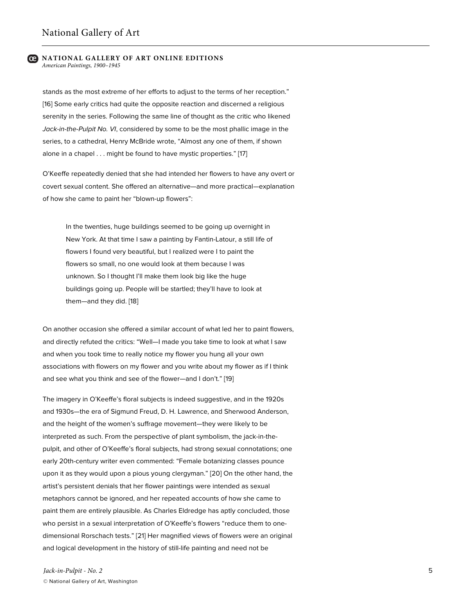stands as the most extreme of her efforts to adjust to the terms of her reception." [16] Some early critics had quite the opposite reaction and discerned a religious serenity in the series. Following the same line of thought as the critic who likened *Jack-in-the-Pulpit No. VI*, considered by some to be the most phallic image in the series, to a cathedral, Henry McBride wrote, "Almost any one of them, if shown alone in a chapel . . . might be found to have mystic properties." [17]

O'Keeffe repeatedly denied that she had intended her flowers to have any overt or covert sexual content. She offered an alternative—and more practical—explanation of how she came to paint her "blown-up flowers":

In the twenties, huge buildings seemed to be going up overnight in New York. At that time I saw a painting by Fantin-Latour, a still life of flowers I found very beautiful, but I realized were I to paint the flowers so small, no one would look at them because I was unknown. So I thought I'll make them look big like the huge buildings going up. People will be startled; they'll have to look at them—and they did. [18]

On another occasion she offered a similar account of what led her to paint flowers, and directly refuted the critics: "Well—I made you take time to look at what I saw and when you took time to really notice my flower you hung all your own associations with flowers on my flower and you write about my flower as if I think and see what you think and see of the flower—and I don't." [19]

The imagery in O'Keeffe's floral subjects is indeed suggestive, and in the 1920s and 1930s—the era of Sigmund Freud, D. H. Lawrence, and Sherwood Anderson, and the height of the women's suffrage movement—they were likely to be interpreted as such. From the perspective of plant symbolism, the jack-in-thepulpit, and other of O'Keeffe's floral subjects, had strong sexual connotations; one early 20th-century writer even commented: "Female botanizing classes pounce upon it as they would upon a pious young clergyman." [20] On the other hand, the artist's persistent denials that her flower paintings were intended as sexual metaphors cannot be ignored, and her repeated accounts of how she came to paint them are entirely plausible. As Charles Eldredge has aptly concluded, those who persist in a sexual interpretation of O'Keeffe's flowers "reduce them to onedimensional Rorschach tests." [21] Her magnified views of flowers were an original and logical development in the history of still-life painting and need not be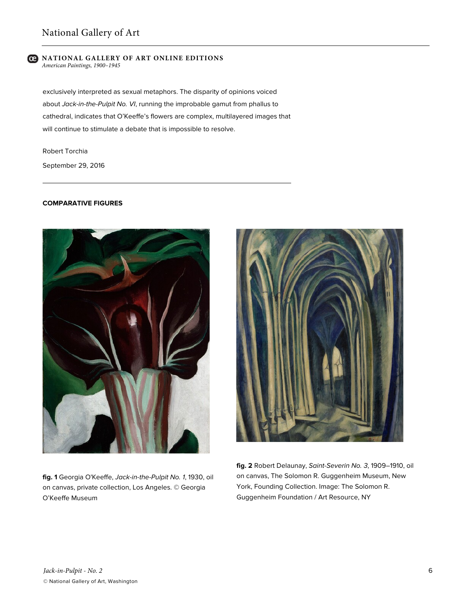exclusively interpreted as sexual metaphors. The disparity of opinions voiced about *Jack-in-the-Pulpit No. VI*, running the improbable gamut from phallus to cathedral, indicates that O'Keeffe's flowers are complex, multilayered images that will continue to stimulate a debate that is impossible to resolve.

Robert Torchia September 29, 2016

# **COMPARATIVE FIGURES**



**fig. 1** Georgia O'Keeffe, *Jack-in-the-Pulpit No. 1*, 1930, oil on canvas, private collection, Los Angeles. © Georgia O'Keeffe Museum



**fig. 2** Robert Delaunay, *Saint-Severin No. 3*, 1909–1910, oil on canvas, The Solomon R. Guggenheim Museum, New York, Founding Collection. Image: The Solomon R. Guggenheim Foundation / Art Resource, NY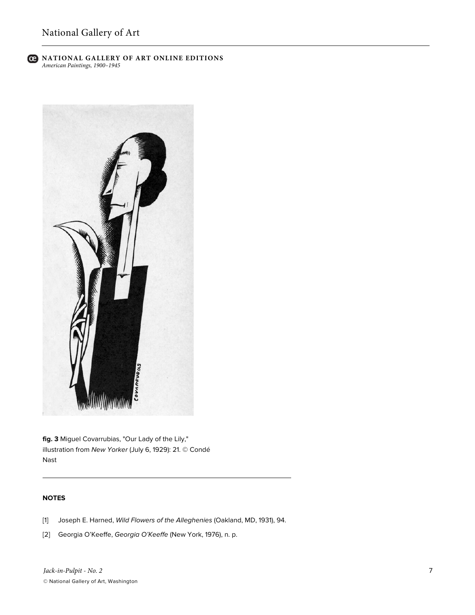

**fig. 3** Miguel Covarrubias, "Our Lady of the Lily," illustration from *New Yorker* (July 6, 1929): 21. © Condé Nast

# **NOTES**

- [1] Joseph E. Harned, *Wild Flowers of the Alleghenies* (Oakland, MD, 1931), 94.
- [2] Georgia O'Keeffe, *Georgia O'Keeffe* (New York, 1976), n. p.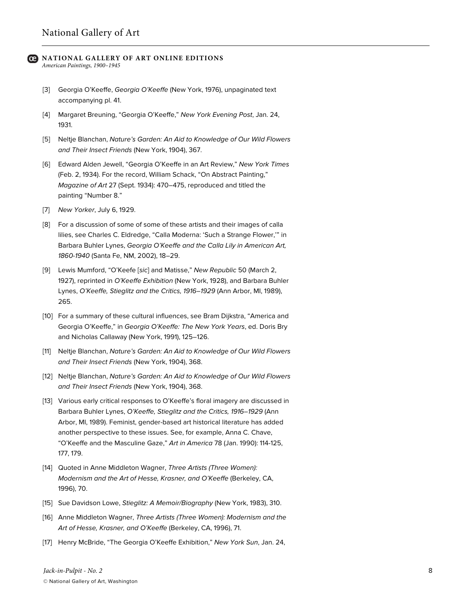- [3] Georgia O'Keeffe, *Georgia O'Keeffe* (New York, 1976), unpaginated text accompanying pl. 41.
- [4] Margaret Breuning, "Georgia O'Keeffe," *New York Evening Post*, Jan. 24, 1931.
- [5] Neltje Blanchan, *Nature's Garden: An Aid to Knowledge of Our Wild Flowers and Their Insect Friends* (New York, 1904), 367.
- [6] Edward Alden Jewell, "Georgia O'Keeffe in an Art Review," *New York Times* (Feb. 2, 1934). For the record, William Schack, "On Abstract Painting," *Magazine of Art* 27 (Sept. 1934): 470–475, reproduced and titled the painting "Number 8."
- [7] *New Yorker*, July 6, 1929.
- [8] For a discussion of some of some of these artists and their images of calla lilies, see Charles C. Eldredge, "Calla Moderna: 'Such a Strange Flower,'" in Barbara Buhler Lynes, *Georgia O'Keeffe and the Calla Lily in American Art, 1860-1940* (Santa Fe, NM, 2002), 18–29.
- [9] Lewis Mumford, "O'Keefe [*sic*] and Matisse," *New Republic* 50 (March 2, 1927), reprinted in *O'Keeffe Exhibition* (New York, 1928), and Barbara Buhler Lynes, *O'Keeffe, Stieglitz and the Critics, 1916–1929* (Ann Arbor, MI, 1989), 265.
- [10] For a summary of these cultural influences, see Bram Dijkstra, "America and Georgia O'Keeffe," in *Georgia O'Keeffe: The New York Years*, ed. Doris Bry and Nicholas Callaway (New York, 1991), 125–126.
- [11] Neltje Blanchan, *Nature's Garden: An Aid to Knowledge of Our Wild Flowers and Their Insect Friends* (New York, 1904), 368.
- [12] Neltje Blanchan, *Nature's Garden: An Aid to Knowledge of Our Wild Flowers and Their Insect Friends* (New York, 1904), 368.
- [13] Various early critical responses to O'Keeffe's floral imagery are discussed in Barbara Buhler Lynes, *O'Keeffe, Stieglitz and the Critics, 1916–1929* (Ann Arbor, MI, 1989). Feminist, gender-based art historical literature has added another perspective to these issues. See, for example, Anna C. Chave, "O'Keeffe and the Masculine Gaze," *Art in America* 78 (Jan. 1990): 114-125, 177, 179.
- [14] Quoted in Anne Middleton Wagner, *Three Artists (Three Women): Modernism and the Art of Hesse, Krasner, and O'Keeffe* (Berkeley, CA, 1996), 70.
- [15] Sue Davidson Lowe, *Stieglitz: A Memoir/Biography* (New York, 1983), 310.
- [16] Anne Middleton Wagner, *Three Artists (Three Women): Modernism and the Art of Hesse, Krasner, and O'Keeffe* (Berkeley, CA, 1996), 71.
- [17] Henry McBride, "The Georgia O'Keeffe Exhibition," *New York Sun*, Jan. 24,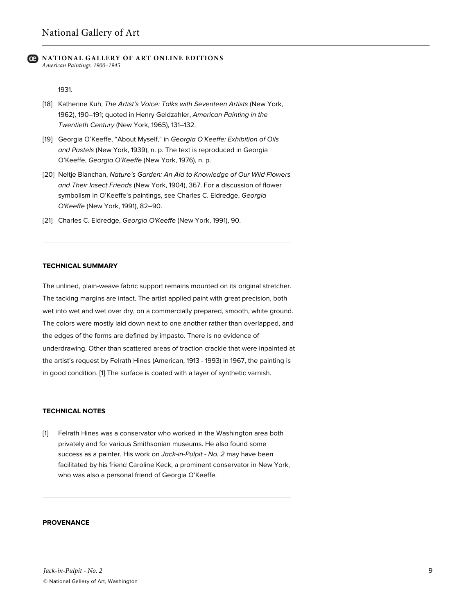1931.

- [18] Katherine Kuh, *The Artist's Voice: Talks with Seventeen Artists* (New York, 1962), 190–191; quoted in Henry Geldzahler, *American Painting in the Twentieth Century* (New York, 1965), 131–132.
- [19] Georgia O'Keeffe, "About Myself," in *Georgia O'Keeffe: Exhibition of Oils and Pastels* (New York, 1939), n. p. The text is reproduced in Georgia O'Keeffe, *Georgia O'Keeffe* (New York, 1976), n. p.
- [20] Neltje Blanchan, *Nature's Garden: An Aid to Knowledge of Our Wild Flowers and Their Insect Friends* (New York, 1904), 367. For a discussion of flower symbolism in O'Keeffe's paintings, see Charles C. Eldredge, *Georgia O'Keeffe* (New York, 1991), 82–90.
- [21] Charles C. Eldredge, *Georgia O'Keeffe* (New York, 1991), 90.

## **TECHNICAL SUMMARY**

The unlined, plain-weave fabric support remains mounted on its original stretcher. The tacking margins are intact. The artist applied paint with great precision, both wet into wet and wet over dry, on a commercially prepared, smooth, white ground. The colors were mostly laid down next to one another rather than overlapped, and the edges of the forms are defined by impasto. There is no evidence of underdrawing. Other than scattered areas of traction crackle that were inpainted at the artist's request by Felrath Hines (American, 1913 - 1993) in 1967, the painting is in good condition. [1] The surface is coated with a layer of synthetic varnish.

# **TECHNICAL NOTES**

[1] Felrath Hines was a conservator who worked in the Washington area both privately and for various Smithsonian museums. He also found some success as a painter. His work on *Jack-in-Pulpit - No. 2* may have been facilitated by his friend Caroline Keck, a prominent conservator in New York, who was also a personal friend of Georgia O'Keeffe.

#### **PROVENANCE**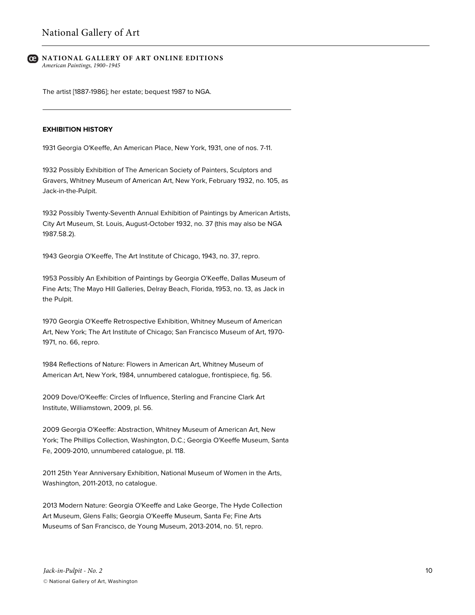The artist [1887-1986]; her estate; bequest 1987 to NGA.

## **EXHIBITION HISTORY**

1931 Georgia O'Keeffe, An American Place, New York, 1931, one of nos. 7-11.

1932 Possibly Exhibition of The American Society of Painters, Sculptors and Gravers, Whitney Museum of American Art, New York, February 1932, no. 105, as Jack-in-the-Pulpit.

1932 Possibly Twenty-Seventh Annual Exhibition of Paintings by American Artists, City Art Museum, St. Louis, August-October 1932, no. 37 (this may also be NGA 1987.58.2).

1943 Georgia O'Keeffe, The Art Institute of Chicago, 1943, no. 37, repro.

1953 Possibly An Exhibition of Paintings by Georgia O'Keeffe, Dallas Museum of Fine Arts; The Mayo Hill Galleries, Delray Beach, Florida, 1953, no. 13, as Jack in the Pulpit.

1970 Georgia O'Keeffe Retrospective Exhibition, Whitney Museum of American Art, New York; The Art Institute of Chicago; San Francisco Museum of Art, 1970- 1971, no. 66, repro.

1984 Reflections of Nature: Flowers in American Art, Whitney Museum of American Art, New York, 1984, unnumbered catalogue, frontispiece, fig. 56.

2009 Dove/O'Keeffe: Circles of Influence, Sterling and Francine Clark Art Institute, Williamstown, 2009, pl. 56.

2009 Georgia O'Keeffe: Abstraction, Whitney Museum of American Art, New York; The Phillips Collection, Washington, D.C.; Georgia O'Keeffe Museum, Santa Fe, 2009-2010, unnumbered catalogue, pl. 118.

2011 25th Year Anniversary Exhibition, National Museum of Women in the Arts, Washington, 2011-2013, no catalogue.

2013 Modern Nature: Georgia O'Keeffe and Lake George, The Hyde Collection Art Museum, Glens Falls; Georgia O'Keeffe Museum, Santa Fe; Fine Arts Museums of San Francisco, de Young Museum, 2013-2014, no. 51, repro.